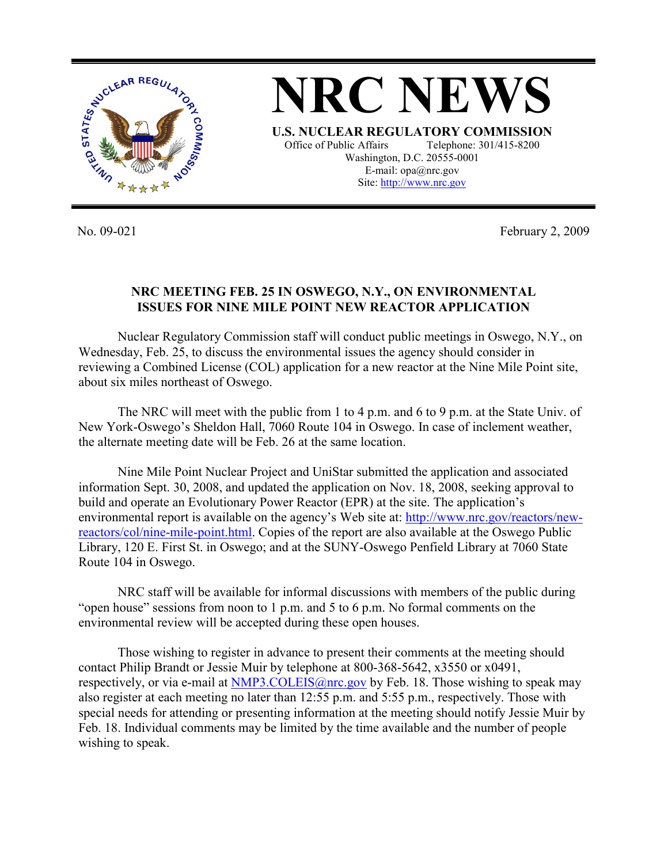

**NRC NEWS U.S. NUCLEAR REGULATORY COMMISSION** Office of Public Affairs Telephone: 301/415-8200 Washington, D.C. 20555-0001 E-mail: opa@nrc.gov Site: http://www.nrc.gov

No. 09-021 February 2, 2009

## **NRC MEETING FEB. 25 IN OSWEGO, N.Y., ON ENVIRONMENTAL ISSUES FOR NINE MILE POINT NEW REACTOR APPLICATION**

 Nuclear Regulatory Commission staff will conduct public meetings in Oswego, N.Y., on Wednesday, Feb. 25, to discuss the environmental issues the agency should consider in reviewing a Combined License (COL) application for a new reactor at the Nine Mile Point site, about six miles northeast of Oswego.

 The NRC will meet with the public from 1 to 4 p.m. and 6 to 9 p.m. at the State Univ. of New York-Oswego's Sheldon Hall, 7060 Route 104 in Oswego. In case of inclement weather, the alternate meeting date will be Feb. 26 at the same location.

Nine Mile Point Nuclear Project and UniStar submitted the application and associated information Sept. 30, 2008, and updated the application on Nov. 18, 2008, seeking approval to build and operate an Evolutionary Power Reactor (EPR) at the site. The application's environmental report is available on the agency's Web site at: http://www.nrc.gov/reactors/newreactors/col/nine-mile-point.html. Copies of the report are also available at the Oswego Public Library, 120 E. First St. in Oswego; and at the SUNY-Oswego Penfield Library at 7060 State Route 104 in Oswego.

NRC staff will be available for informal discussions with members of the public during "open house" sessions from noon to 1 p.m. and 5 to 6 p.m. No formal comments on the environmental review will be accepted during these open houses.

 Those wishing to register in advance to present their comments at the meeting should contact Philip Brandt or Jessie Muir by telephone at 800-368-5642, x3550 or x0491, respectively, or via e-mail at NMP3.COLEIS@nrc.gov by Feb. 18. Those wishing to speak may also register at each meeting no later than 12:55 p.m. and 5:55 p.m., respectively. Those with special needs for attending or presenting information at the meeting should notify Jessie Muir by Feb. 18. Individual comments may be limited by the time available and the number of people wishing to speak.